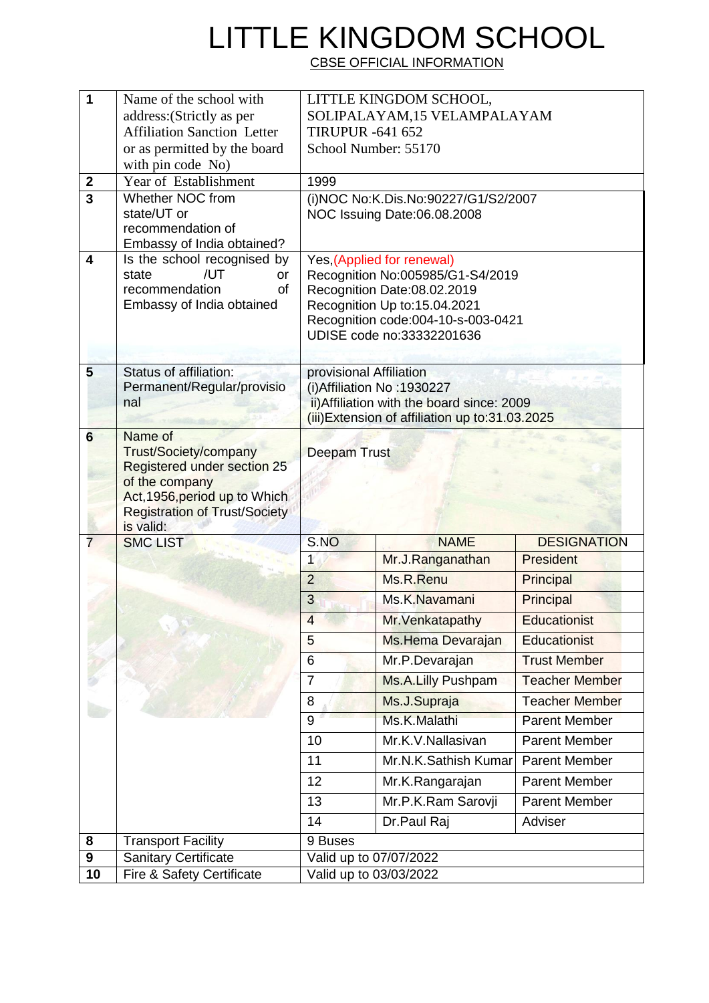## LITTLE KINGDOM SCHOOL

CBSE OFFICIAL INFORMATION

| 1                     | Name of the school with                                     | LITTLE KINGDOM SCHOOL,                                                                               |                        |                       |  |  |
|-----------------------|-------------------------------------------------------------|------------------------------------------------------------------------------------------------------|------------------------|-----------------------|--|--|
|                       | address: (Strictly as per                                   | SOLIPALAYAM, 15 VELAMPALAYAM                                                                         |                        |                       |  |  |
|                       | <b>Affiliation Sanction Letter</b>                          | <b>TIRUPUR -641 652</b>                                                                              |                        |                       |  |  |
|                       | or as permitted by the board                                | School Number: 55170                                                                                 |                        |                       |  |  |
|                       | with pin code No)                                           |                                                                                                      |                        |                       |  |  |
| $\boldsymbol{2}$<br>3 | Year of Establishment<br>Whether NOC from                   | 1999                                                                                                 |                        |                       |  |  |
|                       | state/UT or                                                 | (i)NOC No:K.Dis.No:90227/G1/S2/2007<br>NOC Issuing Date:06.08.2008                                   |                        |                       |  |  |
|                       | recommendation of                                           |                                                                                                      |                        |                       |  |  |
|                       | Embassy of India obtained?                                  |                                                                                                      |                        |                       |  |  |
| 4                     | Is the school recognised by                                 | Yes, (Applied for renewal)                                                                           |                        |                       |  |  |
|                       | /UT<br>state<br>or<br>recommendation<br>of                  | Recognition No:005985/G1-S4/2019<br>Recognition Date:08.02.2019                                      |                        |                       |  |  |
|                       | Embassy of India obtained                                   | Recognition Up to:15.04.2021                                                                         |                        |                       |  |  |
|                       |                                                             | Recognition code:004-10-s-003-0421                                                                   |                        |                       |  |  |
|                       |                                                             | UDISE code no:33332201636                                                                            |                        |                       |  |  |
|                       |                                                             |                                                                                                      |                        |                       |  |  |
| 5                     | <b>Status of affiliation:</b><br>Permanent/Regular/provisio | provisional Affiliation<br>(i) Affiliation No: 1930227<br>ii) Affiliation with the board since: 2009 |                        |                       |  |  |
|                       | nal                                                         |                                                                                                      |                        |                       |  |  |
|                       |                                                             | (iii) Extension of affiliation up to:31.03.2025                                                      |                        |                       |  |  |
| $6\phantom{1}$        | Name of                                                     | <b>Deepam Trust</b>                                                                                  |                        |                       |  |  |
|                       | Trust/Society/company                                       |                                                                                                      |                        |                       |  |  |
|                       | Registered under section 25<br>of the company               |                                                                                                      |                        |                       |  |  |
|                       | Act, 1956, period up to Which                               |                                                                                                      |                        |                       |  |  |
|                       | <b>Registration of Trust/Society</b>                        |                                                                                                      |                        |                       |  |  |
| 7                     | is valid:<br><b>SMC LIST</b>                                | S.NO                                                                                                 | <b>NAME</b>            | <b>DESIGNATION</b>    |  |  |
|                       |                                                             | 1                                                                                                    | Mr.J.Ranganathan       | President             |  |  |
|                       |                                                             | $\overline{2}$                                                                                       | Ms.R.Renu              | Principal             |  |  |
|                       |                                                             | 3                                                                                                    | Ms.K.Navamani          | Principal             |  |  |
|                       |                                                             | $\Delta$                                                                                             | Mr. Venkatapathy       | Educationist          |  |  |
|                       |                                                             | 5                                                                                                    | Ms.Hema Devarajan      | <b>Educationist</b>   |  |  |
|                       |                                                             | 6                                                                                                    | Mr.P.Devarajan         | <b>Trust Member</b>   |  |  |
|                       |                                                             | 7                                                                                                    | Ms.A.Lilly Pushpam     | <b>Teacher Member</b> |  |  |
|                       |                                                             | 8                                                                                                    | Ms.J.Supraja           | <b>Teacher Member</b> |  |  |
|                       |                                                             | 9                                                                                                    | Ms.K.Malathi           | <b>Parent Member</b>  |  |  |
|                       |                                                             | 10                                                                                                   | Mr.K.V.Nallasivan      | <b>Parent Member</b>  |  |  |
|                       |                                                             | 11                                                                                                   | Mr.N.K.Sathish Kumar   | <b>Parent Member</b>  |  |  |
|                       |                                                             | 12                                                                                                   | Mr.K.Rangarajan        | <b>Parent Member</b>  |  |  |
|                       |                                                             | 13                                                                                                   | Mr.P.K.Ram Sarovji     | <b>Parent Member</b>  |  |  |
|                       |                                                             | 14                                                                                                   | Dr.Paul Raj            | Adviser               |  |  |
| 8                     | <b>Transport Facility</b>                                   | 9 Buses                                                                                              |                        |                       |  |  |
| 9                     | <b>Sanitary Certificate</b>                                 | Valid up to 07/07/2022                                                                               |                        |                       |  |  |
| 10                    | Fire & Safety Certificate                                   |                                                                                                      | Valid up to 03/03/2022 |                       |  |  |